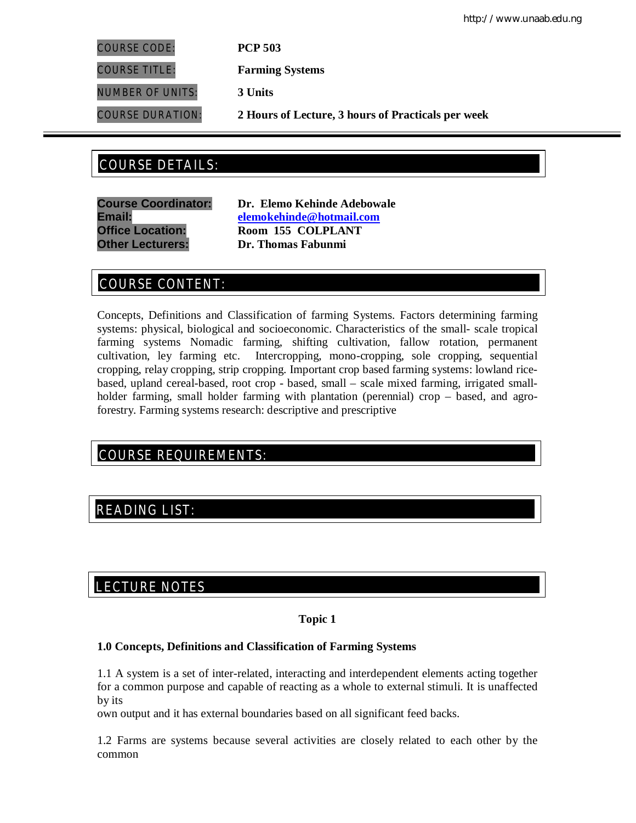http://www.unaab.edu.ng

COURSE CODE: **PCP 503**

COURSE TITLE: **Farming Systems**

NUMBER OF UNITS: **3 Units**

COURSE DURATION: **2 Hours of Lecture, 3 hours of Practicals per week**

# COURSE DETAILS: COURSE DETAILS:

**Course Coordinator: Dr. Elemo Kehinde Adebowale Email: elemokehinde@hotmail.com Office Location: Room 155 COLPLANT Other Lecturers: Dr. Thomas Fabunmi**

# COURSE CONTENT:

Concepts, Definitions and Classification of farming Systems. Factors determining farming systems: physical, biological and socioeconomic. Characteristics of the small- scale tropical farming systems Nomadic farming, shifting cultivation, fallow rotation, permanent cultivation, ley farming etc. Intercropping, mono-cropping, sole cropping, sequential cropping, relay cropping, strip cropping. Important crop based farming systems: lowland ricebased, upland cereal-based, root crop - based, small – scale mixed farming, irrigated smallholder farming, small holder farming with plantation (perennial) crop – based, and agroforestry. Farming systems research: descriptive and prescriptive

# COURSE REQUIREMENTS:

# READING LIST:

# E LECTURE NOTES

## **Topic 1**

## **1.0 Concepts, Definitions and Classification of Farming Systems**

1.1 A system is a set of inter-related, interacting and interdependent elements acting together for a common purpose and capable of reacting as a whole to external stimuli. It is unaffected by its

own output and it has external boundaries based on all significant feed backs.

1.2 Farms are systems because several activities are closely related to each other by the common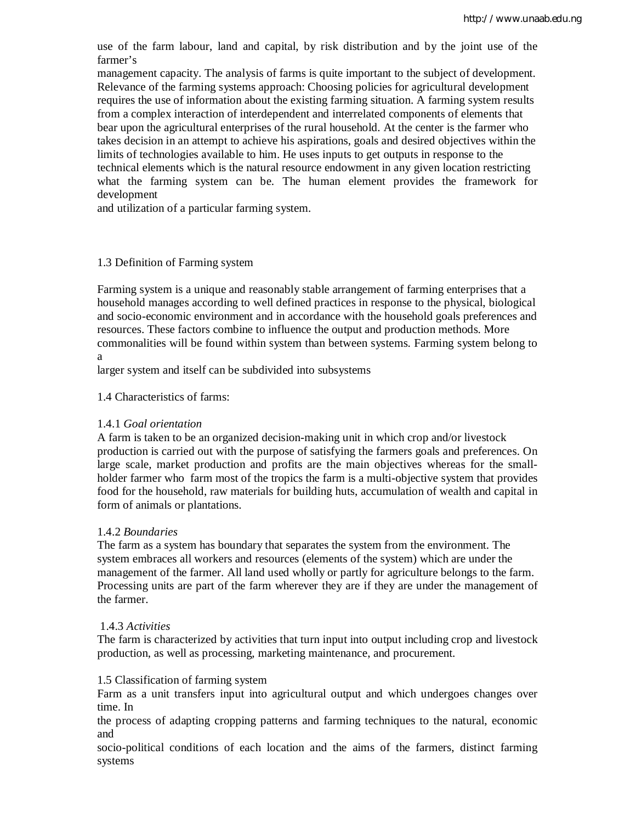use of the farm labour, land and capital, by risk distribution and by the joint use of the farmer's

management capacity. The analysis of farms is quite important to the subject of development. Relevance of the farming systems approach: Choosing policies for agricultural development requires the use of information about the existing farming situation. A farming system results from a complex interaction of interdependent and interrelated components of elements that bear upon the agricultural enterprises of the rural household. At the center is the farmer who takes decision in an attempt to achieve his aspirations, goals and desired objectives within the limits of technologies available to him. He uses inputs to get outputs in response to the technical elements which is the natural resource endowment in any given location restricting what the farming system can be. The human element provides the framework for development

and utilization of a particular farming system.

#### 1.3 Definition of Farming system

Farming system is a unique and reasonably stable arrangement of farming enterprises that a household manages according to well defined practices in response to the physical, biological and socio-economic environment and in accordance with the household goals preferences and resources. These factors combine to influence the output and production methods. More commonalities will be found within system than between systems. Farming system belong to a

larger system and itself can be subdivided into subsystems

1.4 Characteristics of farms:

## 1.4.1 *Goal orientation*

A farm is taken to be an organized decision-making unit in which crop and/or livestock production is carried out with the purpose of satisfying the farmers goals and preferences. On large scale, market production and profits are the main objectives whereas for the smallholder farmer who farm most of the tropics the farm is a multi-objective system that provides food for the household, raw materials for building huts, accumulation of wealth and capital in form of animals or plantations.

## 1.4.2 *Boundaries*

The farm as a system has boundary that separates the system from the environment. The system embraces all workers and resources (elements of the system) which are under the management of the farmer. All land used wholly or partly for agriculture belongs to the farm. Processing units are part of the farm wherever they are if they are under the management of the farmer.

## 1.4.3 *Activities*

The farm is characterized by activities that turn input into output including crop and livestock production, as well as processing, marketing maintenance, and procurement.

#### 1.5 Classification of farming system

Farm as a unit transfers input into agricultural output and which undergoes changes over time. In

the process of adapting cropping patterns and farming techniques to the natural, economic and

socio-political conditions of each location and the aims of the farmers, distinct farming systems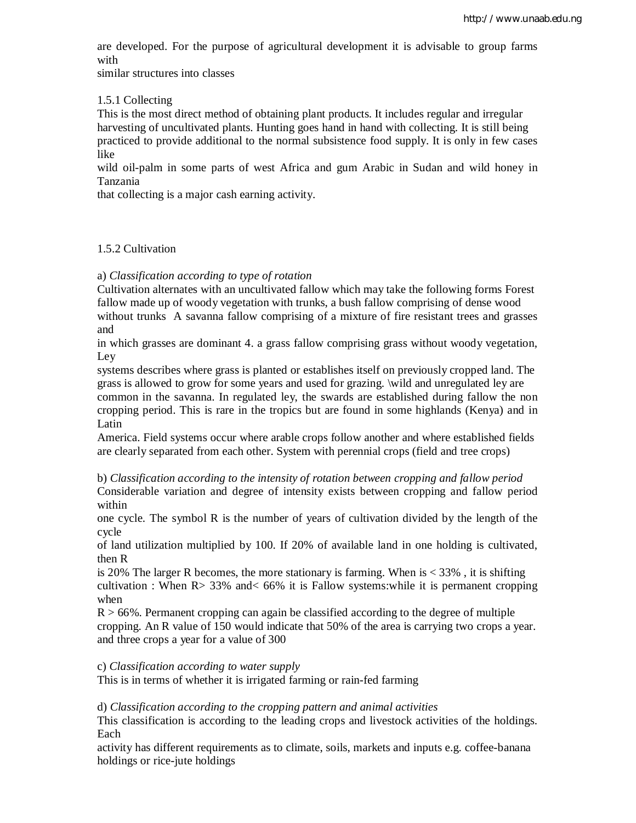are developed. For the purpose of agricultural development it is advisable to group farms with

similar structures into classes

#### 1.5.1 Collecting

This is the most direct method of obtaining plant products. It includes regular and irregular harvesting of uncultivated plants. Hunting goes hand in hand with collecting. It is still being practiced to provide additional to the normal subsistence food supply. It is only in few cases like

wild oil-palm in some parts of west Africa and gum Arabic in Sudan and wild honey in Tanzania

that collecting is a major cash earning activity.

#### 1.5.2 Cultivation

a) *Classification according to type of rotation*

Cultivation alternates with an uncultivated fallow which may take the following forms Forest fallow made up of woody vegetation with trunks, a bush fallow comprising of dense wood without trunks A savanna fallow comprising of a mixture of fire resistant trees and grasses and

in which grasses are dominant 4. a grass fallow comprising grass without woody vegetation, Ley

systems describes where grass is planted or establishes itself on previously cropped land. The grass is allowed to grow for some years and used for grazing. \wild and unregulated ley are common in the savanna. In regulated ley, the swards are established during fallow the non cropping period. This is rare in the tropics but are found in some highlands (Kenya) and in Latin

America. Field systems occur where arable crops follow another and where established fields are clearly separated from each other. System with perennial crops (field and tree crops)

b) *Classification according to the intensity of rotation between cropping and fallow period* Considerable variation and degree of intensity exists between cropping and fallow period

within

one cycle. The symbol R is the number of years of cultivation divided by the length of the cycle

of land utilization multiplied by 100. If 20% of available land in one holding is cultivated, then R

is 20% The larger R becomes, the more stationary is farming. When is  $\lt$  33%, it is shifting cultivation : When  $R > 33\%$  and  $< 66\%$  it is Fallow systems: while it is permanent cropping when

 $R > 66\%$ . Permanent cropping can again be classified according to the degree of multiple cropping. An R value of 150 would indicate that 50% of the area is carrying two crops a year. and three crops a year for a value of 300

c) *Classification according to water supply*

This is in terms of whether it is irrigated farming or rain-fed farming

#### d) *Classification according to the cropping pattern and animal activities*

This classification is according to the leading crops and livestock activities of the holdings. Each

activity has different requirements as to climate, soils, markets and inputs e.g. coffee-banana holdings or rice-jute holdings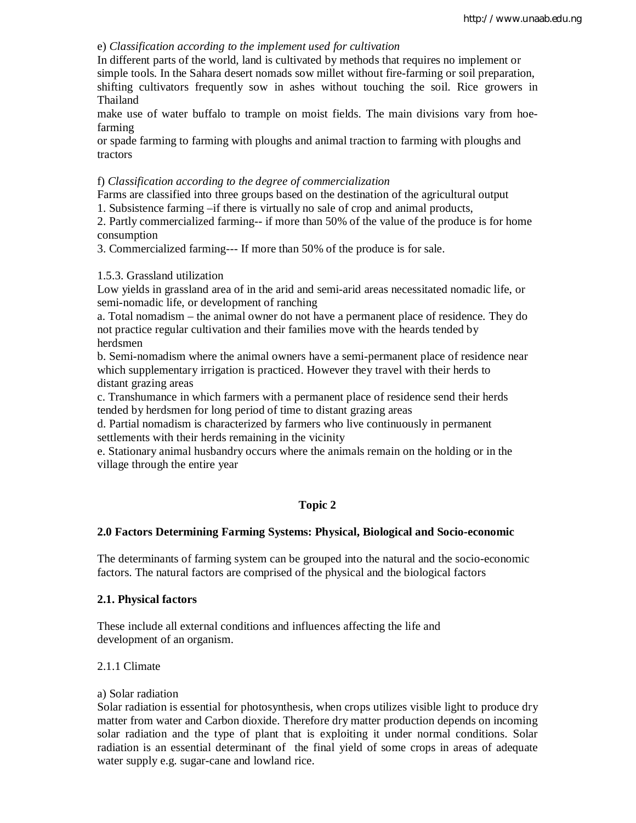#### e) *Classification according to the implement used for cultivation*

In different parts of the world, land is cultivated by methods that requires no implement or simple tools. In the Sahara desert nomads sow millet without fire-farming or soil preparation, shifting cultivators frequently sow in ashes without touching the soil. Rice growers in Thailand

make use of water buffalo to trample on moist fields. The main divisions vary from hoefarming

or spade farming to farming with ploughs and animal traction to farming with ploughs and tractors

#### f) *Classification according to the degree of commercialization*

Farms are classified into three groups based on the destination of the agricultural output

1. Subsistence farming –if there is virtually no sale of crop and animal products,

2. Partly commercialized farming-- if more than 50% of the value of the produce is for home consumption

3. Commercialized farming--- If more than 50% of the produce is for sale.

#### 1.5.3. Grassland utilization

Low yields in grassland area of in the arid and semi-arid areas necessitated nomadic life, or semi-nomadic life, or development of ranching

a. Total nomadism – the animal owner do not have a permanent place of residence. They do not practice regular cultivation and their families move with the heards tended by herdsmen

b. Semi-nomadism where the animal owners have a semi-permanent place of residence near which supplementary irrigation is practiced. However they travel with their herds to distant grazing areas

c. Transhumance in which farmers with a permanent place of residence send their herds tended by herdsmen for long period of time to distant grazing areas

d. Partial nomadism is characterized by farmers who live continuously in permanent settlements with their herds remaining in the vicinity

e. Stationary animal husbandry occurs where the animals remain on the holding or in the village through the entire year

## **Topic 2**

## **2.0 Factors Determining Farming Systems: Physical, Biological and Socio-economic**

The determinants of farming system can be grouped into the natural and the socio-economic factors. The natural factors are comprised of the physical and the biological factors

#### **2.1. Physical factors**

These include all external conditions and influences affecting the life and development of an organism.

## 2.1.1 Climate

#### a) Solar radiation

Solar radiation is essential for photosynthesis, when crops utilizes visible light to produce dry matter from water and Carbon dioxide. Therefore dry matter production depends on incoming solar radiation and the type of plant that is exploiting it under normal conditions. Solar radiation is an essential determinant of the final yield of some crops in areas of adequate water supply e.g. sugar-cane and lowland rice.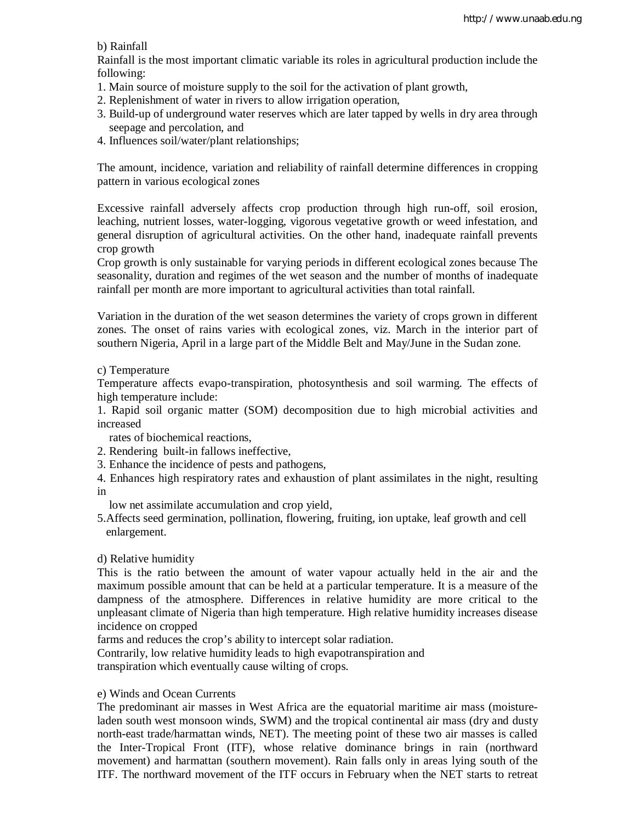b) Rainfall

Rainfall is the most important climatic variable its roles in agricultural production include the following:

- 1. Main source of moisture supply to the soil for the activation of plant growth,
- 2. Replenishment of water in rivers to allow irrigation operation,
- 3. Build-up of underground water reserves which are later tapped by wells in dry area through seepage and percolation, and
- 4. Influences soil/water/plant relationships;

The amount, incidence, variation and reliability of rainfall determine differences in cropping pattern in various ecological zones

Excessive rainfall adversely affects crop production through high run-off, soil erosion, leaching, nutrient losses, water-logging, vigorous vegetative growth or weed infestation, and general disruption of agricultural activities. On the other hand, inadequate rainfall prevents crop growth

Crop growth is only sustainable for varying periods in different ecological zones because The seasonality, duration and regimes of the wet season and the number of months of inadequate rainfall per month are more important to agricultural activities than total rainfall.

Variation in the duration of the wet season determines the variety of crops grown in different zones. The onset of rains varies with ecological zones, viz. March in the interior part of southern Nigeria, April in a large part of the Middle Belt and May/June in the Sudan zone.

c) Temperature

Temperature affects evapo-transpiration, photosynthesis and soil warming. The effects of high temperature include:

1. Rapid soil organic matter (SOM) decomposition due to high microbial activities and increased

rates of biochemical reactions,

- 2. Rendering built-in fallows ineffective,
- 3. Enhance the incidence of pests and pathogens,
- 4. Enhances high respiratory rates and exhaustion of plant assimilates in the night, resulting in

low net assimilate accumulation and crop yield,

5.Affects seed germination, pollination, flowering, fruiting, ion uptake, leaf growth and cell enlargement.

d) Relative humidity

This is the ratio between the amount of water vapour actually held in the air and the maximum possible amount that can be held at a particular temperature. It is a measure of the dampness of the atmosphere. Differences in relative humidity are more critical to the unpleasant climate of Nigeria than high temperature. High relative humidity increases disease incidence on cropped

farms and reduces the crop's ability to intercept solar radiation.

Contrarily, low relative humidity leads to high evapotranspiration and

transpiration which eventually cause wilting of crops.

## e) Winds and Ocean Currents

The predominant air masses in West Africa are the equatorial maritime air mass (moistureladen south west monsoon winds, SWM) and the tropical continental air mass (dry and dusty north-east trade/harmattan winds, NET). The meeting point of these two air masses is called the Inter-Tropical Front (ITF), whose relative dominance brings in rain (northward movement) and harmattan (southern movement). Rain falls only in areas lying south of the ITF. The northward movement of the ITF occurs in February when the NET starts to retreat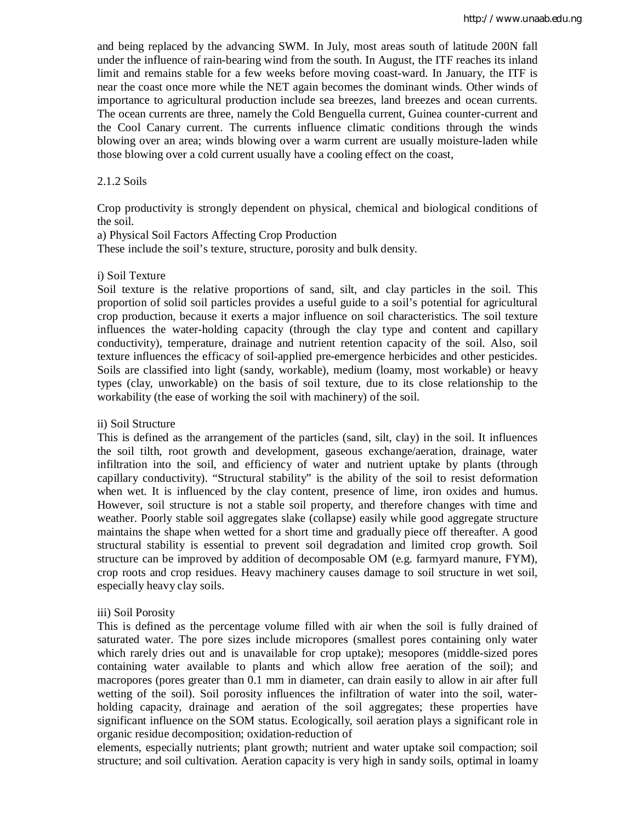and being replaced by the advancing SWM. In July, most areas south of latitude 200N fall under the influence of rain-bearing wind from the south. In August, the ITF reaches its inland limit and remains stable for a few weeks before moving coast-ward. In January, the ITF is near the coast once more while the NET again becomes the dominant winds. Other winds of importance to agricultural production include sea breezes, land breezes and ocean currents. The ocean currents are three, namely the Cold Benguella current, Guinea counter-current and the Cool Canary current. The currents influence climatic conditions through the winds blowing over an area; winds blowing over a warm current are usually moisture-laden while those blowing over a cold current usually have a cooling effect on the coast,

#### 2.1.2 Soils

Crop productivity is strongly dependent on physical, chemical and biological conditions of the soil.

a) Physical Soil Factors Affecting Crop Production

These include the soil's texture, structure, porosity and bulk density.

#### i) Soil Texture

Soil texture is the relative proportions of sand, silt, and clay particles in the soil. This proportion of solid soil particles provides a useful guide to a soil's potential for agricultural crop production, because it exerts a major influence on soil characteristics. The soil texture influences the water-holding capacity (through the clay type and content and capillary conductivity), temperature, drainage and nutrient retention capacity of the soil. Also, soil texture influences the efficacy of soil-applied pre-emergence herbicides and other pesticides. Soils are classified into light (sandy, workable), medium (loamy, most workable) or heavy types (clay, unworkable) on the basis of soil texture, due to its close relationship to the workability (the ease of working the soil with machinery) of the soil.

#### ii) Soil Structure

This is defined as the arrangement of the particles (sand, silt, clay) in the soil. It influences the soil tilth, root growth and development, gaseous exchange/aeration, drainage, water infiltration into the soil, and efficiency of water and nutrient uptake by plants (through capillary conductivity). "Structural stability" is the ability of the soil to resist deformation when wet. It is influenced by the clay content, presence of lime, iron oxides and humus. However, soil structure is not a stable soil property, and therefore changes with time and weather. Poorly stable soil aggregates slake (collapse) easily while good aggregate structure maintains the shape when wetted for a short time and gradually piece off thereafter. A good structural stability is essential to prevent soil degradation and limited crop growth. Soil structure can be improved by addition of decomposable OM (e.g. farmyard manure, FYM), crop roots and crop residues. Heavy machinery causes damage to soil structure in wet soil, especially heavy clay soils.

#### iii) Soil Porosity

This is defined as the percentage volume filled with air when the soil is fully drained of saturated water. The pore sizes include micropores (smallest pores containing only water which rarely dries out and is unavailable for crop uptake); mesopores (middle-sized pores containing water available to plants and which allow free aeration of the soil); and macropores (pores greater than 0.1 mm in diameter, can drain easily to allow in air after full wetting of the soil). Soil porosity influences the infiltration of water into the soil, waterholding capacity, drainage and aeration of the soil aggregates; these properties have significant influence on the SOM status. Ecologically, soil aeration plays a significant role in organic residue decomposition; oxidation-reduction of

elements, especially nutrients; plant growth; nutrient and water uptake soil compaction; soil structure; and soil cultivation. Aeration capacity is very high in sandy soils, optimal in loamy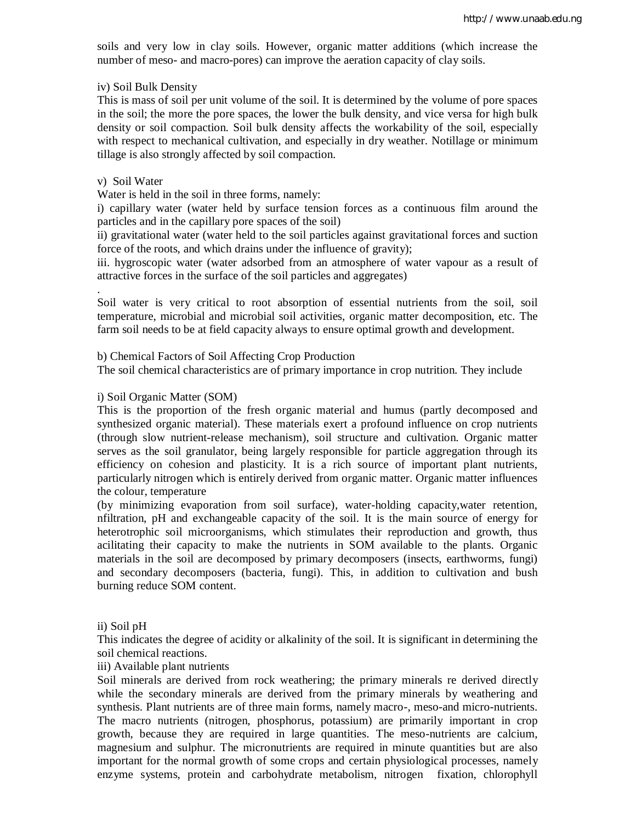soils and very low in clay soils. However, organic matter additions (which increase the number of meso- and macro-pores) can improve the aeration capacity of clay soils.

#### iv) Soil Bulk Density

This is mass of soil per unit volume of the soil. It is determined by the volume of pore spaces in the soil; the more the pore spaces, the lower the bulk density, and vice versa for high bulk density or soil compaction. Soil bulk density affects the workability of the soil, especially with respect to mechanical cultivation, and especially in dry weather. Notillage or minimum tillage is also strongly affected by soil compaction.

#### v) Soil Water

.

Water is held in the soil in three forms, namely:

i) capillary water (water held by surface tension forces as a continuous film around the particles and in the capillary pore spaces of the soil)

ii) gravitational water (water held to the soil particles against gravitational forces and suction force of the roots, and which drains under the influence of gravity);

iii. hygroscopic water (water adsorbed from an atmosphere of water vapour as a result of attractive forces in the surface of the soil particles and aggregates)

Soil water is very critical to root absorption of essential nutrients from the soil, soil temperature, microbial and microbial soil activities, organic matter decomposition, etc. The farm soil needs to be at field capacity always to ensure optimal growth and development.

b) Chemical Factors of Soil Affecting Crop Production

The soil chemical characteristics are of primary importance in crop nutrition. They include

#### i) Soil Organic Matter (SOM)

This is the proportion of the fresh organic material and humus (partly decomposed and synthesized organic material). These materials exert a profound influence on crop nutrients (through slow nutrient-release mechanism), soil structure and cultivation. Organic matter serves as the soil granulator, being largely responsible for particle aggregation through its efficiency on cohesion and plasticity. It is a rich source of important plant nutrients, particularly nitrogen which is entirely derived from organic matter. Organic matter influences the colour, temperature

(by minimizing evaporation from soil surface), water-holding capacity,water retention, nfiltration, pH and exchangeable capacity of the soil. It is the main source of energy for heterotrophic soil microorganisms, which stimulates their reproduction and growth, thus acilitating their capacity to make the nutrients in SOM available to the plants. Organic materials in the soil are decomposed by primary decomposers (insects, earthworms, fungi) and secondary decomposers (bacteria, fungi). This, in addition to cultivation and bush burning reduce SOM content.

#### ii) Soil pH

This indicates the degree of acidity or alkalinity of the soil. It is significant in determining the soil chemical reactions.

iii) Available plant nutrients

Soil minerals are derived from rock weathering; the primary minerals re derived directly while the secondary minerals are derived from the primary minerals by weathering and synthesis. Plant nutrients are of three main forms, namely macro-, meso-and micro-nutrients. The macro nutrients (nitrogen, phosphorus, potassium) are primarily important in crop growth, because they are required in large quantities. The meso-nutrients are calcium, magnesium and sulphur. The micronutrients are required in minute quantities but are also important for the normal growth of some crops and certain physiological processes, namely enzyme systems, protein and carbohydrate metabolism, nitrogen fixation, chlorophyll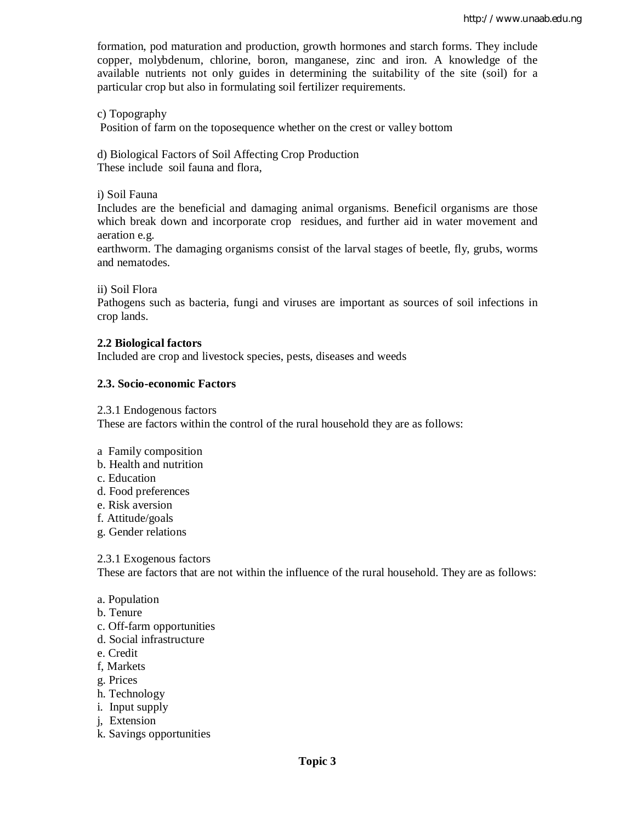formation, pod maturation and production, growth hormones and starch forms. They include copper, molybdenum, chlorine, boron, manganese, zinc and iron. A knowledge of the available nutrients not only guides in determining the suitability of the site (soil) for a particular crop but also in formulating soil fertilizer requirements.

c) Topography

Position of farm on the toposequence whether on the crest or valley bottom

d) Biological Factors of Soil Affecting Crop Production These include soil fauna and flora,

i) Soil Fauna

Includes are the beneficial and damaging animal organisms. Beneficil organisms are those which break down and incorporate crop residues, and further aid in water movement and aeration e.g.

earthworm. The damaging organisms consist of the larval stages of beetle, fly, grubs, worms and nematodes.

ii) Soil Flora

Pathogens such as bacteria, fungi and viruses are important as sources of soil infections in crop lands.

## **2.2 Biological factors**

Included are crop and livestock species, pests, diseases and weeds

## **2.3. Socio-economic Factors**

2.3.1 Endogenous factors These are factors within the control of the rural household they are as follows:

- a Family composition
- b. Health and nutrition
- c. Education
- d. Food preferences
- e. Risk aversion
- f. Attitude/goals
- g. Gender relations

#### 2.3.1 Exogenous factors

These are factors that are not within the influence of the rural household. They are as follows:

- a. Population
- b. Tenure
- c. Off-farm opportunities
- d. Social infrastructure
- e. Credit
- f, Markets
- g. Prices
- h. Technology
- i. Input supply
- j, Extension
- k. Savings opportunities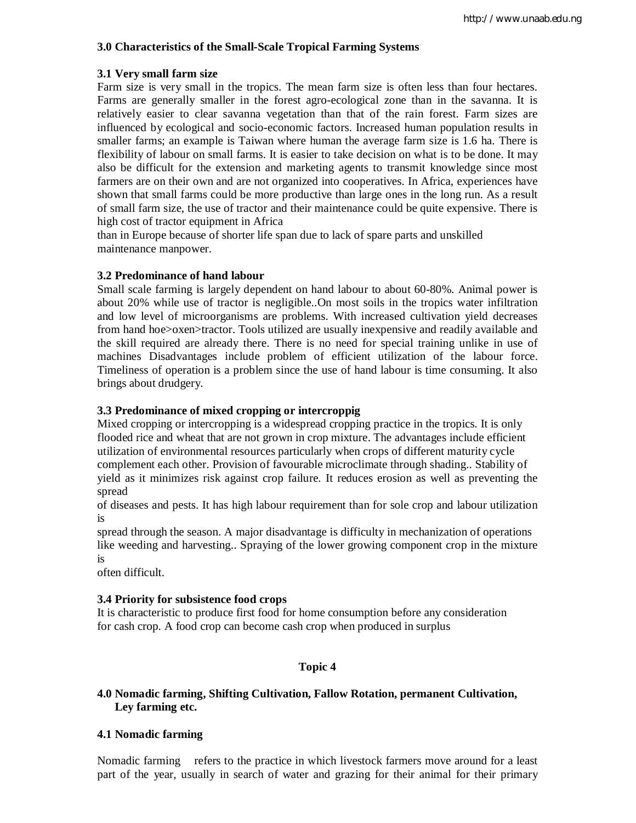## **3.0 Characteristics of the Small-Scale Tropical Farming Systems**

## **3.1 Very small farm size**

Farm size is very small in the tropics. The mean farm size is often less than four hectares. Farms are generally smaller in the forest agro-ecological zone than in the savanna. It is relatively easier to clear savanna vegetation than that of the rain forest. Farm sizes are influenced by ecological and socio-economic factors. Increased human population results in smaller farms; an example is Taiwan where human the average farm size is 1.6 ha. There is flexibility of labour on small farms. It is easier to take decision on what is to be done. It may also be difficult for the extension and marketing agents to transmit knowledge since most farmers are on their own and are not organized into cooperatives. In Africa, experiences have shown that small farms could be more productive than large ones in the long run. As a result of small farm size, the use of tractor and their maintenance could be quite expensive. There is high cost of tractor equipment in Africa

than in Europe because of shorter life span due to lack of spare parts and unskilled maintenance manpower.

## **3.2 Predominance of hand labour**

Small scale farming is largely dependent on hand labour to about 60-80%. Animal power is about 20% while use of tractor is negligible..On most soils in the tropics water infiltration and low level of microorganisms are problems. With increased cultivation yield decreases from hand hoe>oxen>tractor. Tools utilized are usually inexpensive and readily available and the skill required are already there. There is no need for special training unlike in use of machines Disadvantages include problem of efficient utilization of the labour force. Timeliness of operation is a problem since the use of hand labour is time consuming. It also brings about drudgery.

## **3.3 Predominance of mixed cropping or intercroppig**

Mixed cropping or intercropping is a widespread cropping practice in the tropics. It is only flooded rice and wheat that are not grown in crop mixture. The advantages include efficient utilization of environmental resources particularly when crops of different maturity cycle complement each other. Provision of favourable microclimate through shading.. Stability of yield as it minimizes risk against crop failure. It reduces erosion as well as preventing the spread

of diseases and pests. It has high labour requirement than for sole crop and labour utilization is

spread through the season. A major disadvantage is difficulty in mechanization of operations like weeding and harvesting.. Spraying of the lower growing component crop in the mixture is

often difficult.

## **3.4 Priority for subsistence food crops**

It is characteristic to produce first food for home consumption before any consideration for cash crop. A food crop can become cash crop when produced in surplus

## **Topic 4**

## **4.0 Nomadic farming, Shifting Cultivation, Fallow Rotation, permanent Cultivation, Ley farming etc.**

## **4.1 Nomadic farming**

Nomadic farming refers to the practice in which livestock farmers move around for a least part of the year, usually in search of water and grazing for their animal for their primary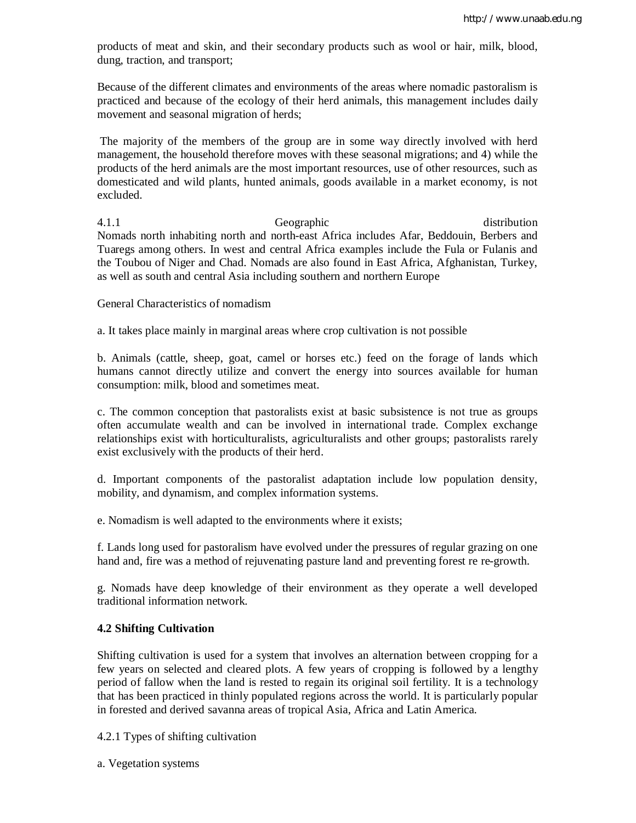products of meat and skin, and their secondary products such as wool or hair, milk, blood, dung, traction, and transport;

Because of the different climates and environments of the areas where nomadic pastoralism is practiced and because of the ecology of their herd animals, this management includes daily movement and seasonal migration of herds;

The majority of the members of the group are in some way directly involved with herd management, the household therefore moves with these seasonal migrations; and 4) while the products of the herd animals are the most important resources, use of other resources, such as domesticated and wild plants, hunted animals, goods available in a market economy, is not excluded.

4.1.1 Geographic distribution Nomads north inhabiting north and north-east Africa includes Afar, Beddouin, Berbers and Tuaregs among others. In west and central Africa examples include the Fula or Fulanis and the Toubou of Niger and Chad. Nomads are also found in East Africa, Afghanistan, Turkey, as well as south and central Asia including southern and northern Europe

#### General Characteristics of nomadism

a. It takes place mainly in marginal areas where crop cultivation is not possible

b. Animals (cattle, sheep, goat, camel or horses etc.) feed on the forage of lands which humans cannot directly utilize and convert the energy into sources available for human consumption: milk, blood and sometimes meat.

c. The common conception that pastoralists exist at basic subsistence is not true as groups often accumulate wealth and can be involved in international trade. Complex exchange relationships exist with horticulturalists, agriculturalists and other groups; pastoralists rarely exist exclusively with the products of their herd.

d. Important components of the pastoralist adaptation include low population density, mobility, and dynamism, and complex information systems.

e. Nomadism is well adapted to the environments where it exists;

f. Lands long used for pastoralism have evolved under the pressures of regular grazing on one hand and, fire was a method of rejuvenating pasture land and preventing forest re re-growth.

g. Nomads have deep knowledge of their environment as they operate a well developed traditional information network.

## **4.2 Shifting Cultivation**

Shifting cultivation is used for a system that involves an alternation between cropping for a few years on selected and cleared plots. A few years of cropping is followed by a lengthy period of fallow when the land is rested to regain its original soil fertility. It is a technology that has been practiced in thinly populated regions across the world. It is particularly popular in forested and derived savanna areas of tropical Asia, Africa and Latin America.

4.2.1 Types of shifting cultivation

a. Vegetation systems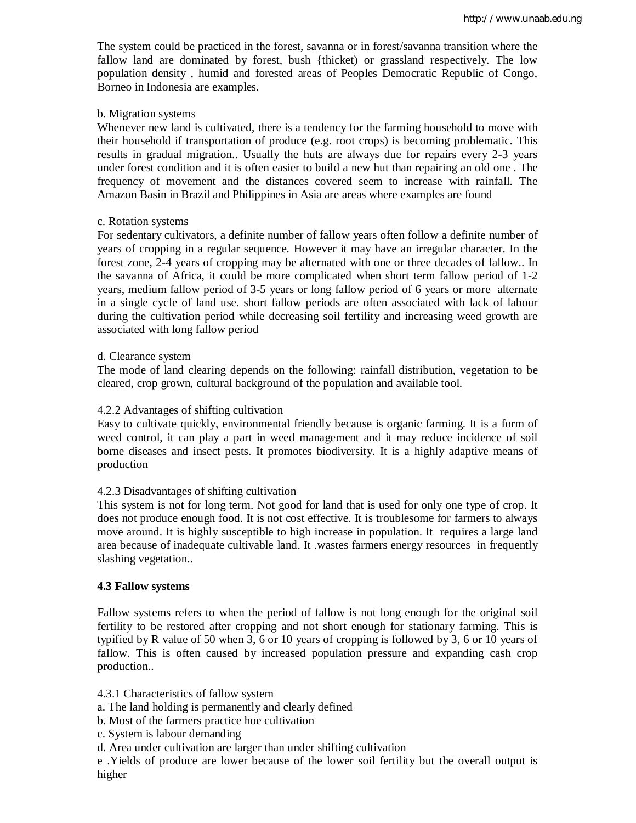The system could be practiced in the forest, savanna or in forest/savanna transition where the fallow land are dominated by forest, bush {thicket) or grassland respectively. The low population density , humid and forested areas of Peoples Democratic Republic of Congo, Borneo in Indonesia are examples.

#### b. Migration systems

Whenever new land is cultivated, there is a tendency for the farming household to move with their household if transportation of produce (e.g. root crops) is becoming problematic. This results in gradual migration.. Usually the huts are always due for repairs every 2-3 years under forest condition and it is often easier to build a new hut than repairing an old one . The frequency of movement and the distances covered seem to increase with rainfall. The Amazon Basin in Brazil and Philippines in Asia are areas where examples are found

## c. Rotation systems

For sedentary cultivators, a definite number of fallow years often follow a definite number of years of cropping in a regular sequence. However it may have an irregular character. In the forest zone, 2-4 years of cropping may be alternated with one or three decades of fallow.. In the savanna of Africa, it could be more complicated when short term fallow period of 1-2 years, medium fallow period of 3-5 years or long fallow period of 6 years or more alternate in a single cycle of land use. short fallow periods are often associated with lack of labour during the cultivation period while decreasing soil fertility and increasing weed growth are associated with long fallow period

#### d. Clearance system

The mode of land clearing depends on the following: rainfall distribution, vegetation to be cleared, crop grown, cultural background of the population and available tool.

#### 4.2.2 Advantages of shifting cultivation

Easy to cultivate quickly, environmental friendly because is organic farming. It is a form of weed control, it can play a part in weed management and it may reduce incidence of soil borne diseases and insect pests. It promotes biodiversity. It is a highly adaptive means of production

## 4.2.3 Disadvantages of shifting cultivation

This system is not for long term. Not good for land that is used for only one type of crop. It does not produce enough food. It is not cost effective. It is troublesome for farmers to always move around. It is highly susceptible to high increase in population. It requires a large land area because of inadequate cultivable land. It .wastes farmers energy resources in frequently slashing vegetation..

#### **4.3 Fallow systems**

Fallow systems refers to when the period of fallow is not long enough for the original soil fertility to be restored after cropping and not short enough for stationary farming. This is typified by R value of 50 when 3, 6 or 10 years of cropping is followed by 3, 6 or 10 years of fallow. This is often caused by increased population pressure and expanding cash crop production..

4.3.1 Characteristics of fallow system

- a. The land holding is permanently and clearly defined
- b. Most of the farmers practice hoe cultivation
- c. System is labour demanding
- d. Area under cultivation are larger than under shifting cultivation

e .Yields of produce are lower because of the lower soil fertility but the overall output is higher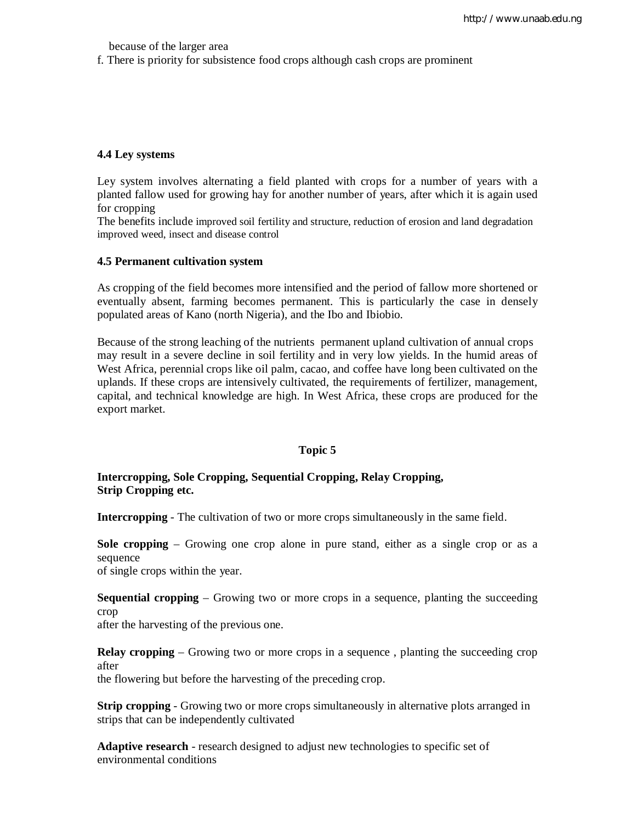because of the larger area

f. There is priority for subsistence food crops although cash crops are prominent

#### **4.4 Ley systems**

Ley system involves alternating a field planted with crops for a number of years with a planted fallow used for growing hay for another number of years, after which it is again used for cropping

The benefits include improved soil fertility and structure, reduction of erosion and land degradation improved weed, insect and disease control

#### **4.5 Permanent cultivation system**

As cropping of the field becomes more intensified and the period of fallow more shortened or eventually absent, farming becomes permanent. This is particularly the case in densely populated areas of Kano (north Nigeria), and the Ibo and Ibiobio.

Because of the strong leaching of the nutrients permanent upland cultivation of annual crops may result in a severe decline in soil fertility and in very low yields. In the humid areas of West Africa, perennial crops like oil palm, cacao, and coffee have long been cultivated on the uplands. If these crops are intensively cultivated, the requirements of fertilizer, management, capital, and technical knowledge are high. In West Africa, these crops are produced for the export market.

#### **Topic 5**

## **Intercropping, Sole Cropping, Sequential Cropping, Relay Cropping, Strip Cropping etc.**

**Intercropping** - The cultivation of two or more crops simultaneously in the same field.

**Sole cropping** – Growing one crop alone in pure stand, either as a single crop or as a sequence

of single crops within the year.

**Sequential cropping** – Growing two or more crops in a sequence, planting the succeeding crop

after the harvesting of the previous one.

**Relay cropping** – Growing two or more crops in a sequence, planting the succeeding crop after

the flowering but before the harvesting of the preceding crop.

**Strip cropping -** Growing two or more crops simultaneously in alternative plots arranged in strips that can be independently cultivated

**Adaptive research** - research designed to adjust new technologies to specific set of environmental conditions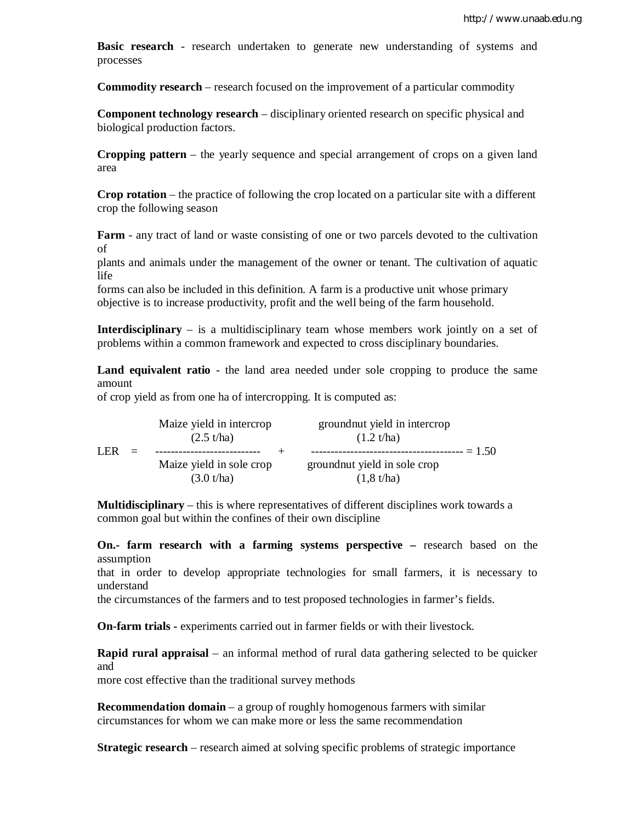**Basic research** - research undertaken to generate new understanding of systems and processes

**Commodity research** – research focused on the improvement of a particular commodity

**Component technology research** – disciplinary oriented research on specific physical and biological production factors.

**Cropping pattern** – the yearly sequence and special arrangement of crops on a given land area

**Crop rotation** – the practice of following the crop located on a particular site with a different crop the following season

**Farm** - any tract of land or waste consisting of one or two parcels devoted to the cultivation of

plants and animals under the management of the owner or tenant. The cultivation of aquatic life

forms can also be included in this definition. A farm is a productive unit whose primary objective is to increase productivity, profit and the well being of the farm household.

**Interdisciplinary** – is a multidisciplinary team whose members work jointly on a set of problems within a common framework and expected to cross disciplinary boundaries.

**Land equivalent ratio** - the land area needed under sole cropping to produce the same amount

of crop yield as from one ha of intercropping. It is computed as:

|      |     | Maize yield in intercrop<br>$(2.5 \text{ t/ha})$ | ground nut yield in intercrop<br>(1.2 t/ha) |  |
|------|-----|--------------------------------------------------|---------------------------------------------|--|
| I FR | $=$ |                                                  | $= 1.50$                                    |  |
|      |     | Maize yield in sole crop                         | ground nut yield in sole crop               |  |
|      |     | (3.0 t/ha)                                       | $(1,8 \t{t/ha})$                            |  |

**Multidisciplinary** – this is where representatives of different disciplines work towards a common goal but within the confines of their own discipline

**On.- farm research with a farming systems perspective –** research based on the assumption

that in order to develop appropriate technologies for small farmers, it is necessary to understand

the circumstances of the farmers and to test proposed technologies in farmer's fields.

**On-farm trials -** experiments carried out in farmer fields or with their livestock.

**Rapid rural appraisal** – an informal method of rural data gathering selected to be quicker and

more cost effective than the traditional survey methods

**Recommendation domain** – a group of roughly homogenous farmers with similar circumstances for whom we can make more or less the same recommendation

**Strategic research** – research aimed at solving specific problems of strategic importance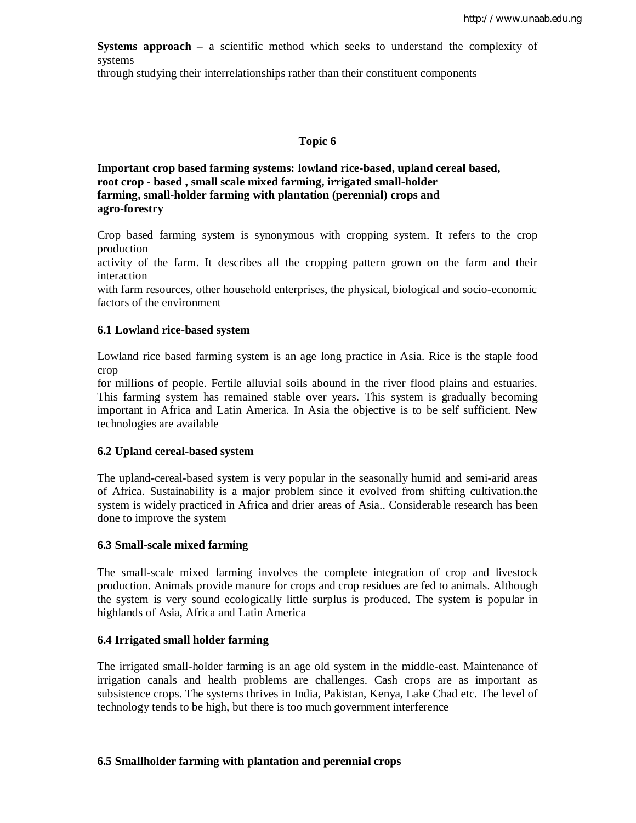**Systems approach** – a scientific method which seeks to understand the complexity of systems

through studying their interrelationships rather than their constituent components

#### **Topic 6**

**Important crop based farming systems: lowland rice-based, upland cereal based, root crop - based , small scale mixed farming, irrigated small-holder farming, small-holder farming with plantation (perennial) crops and agro-forestry**

Crop based farming system is synonymous with cropping system. It refers to the crop production

activity of the farm. It describes all the cropping pattern grown on the farm and their interaction

with farm resources, other household enterprises, the physical, biological and socio-economic factors of the environment

#### **6.1 Lowland rice-based system**

Lowland rice based farming system is an age long practice in Asia. Rice is the staple food crop

for millions of people. Fertile alluvial soils abound in the river flood plains and estuaries. This farming system has remained stable over years. This system is gradually becoming important in Africa and Latin America. In Asia the objective is to be self sufficient. New technologies are available

#### **6.2 Upland cereal-based system**

The upland-cereal-based system is very popular in the seasonally humid and semi-arid areas of Africa. Sustainability is a major problem since it evolved from shifting cultivation.the system is widely practiced in Africa and drier areas of Asia.. Considerable research has been done to improve the system

#### **6.3 Small-scale mixed farming**

The small-scale mixed farming involves the complete integration of crop and livestock production. Animals provide manure for crops and crop residues are fed to animals. Although the system is very sound ecologically little surplus is produced. The system is popular in highlands of Asia, Africa and Latin America

## **6.4 Irrigated small holder farming**

The irrigated small-holder farming is an age old system in the middle-east. Maintenance of irrigation canals and health problems are challenges. Cash crops are as important as subsistence crops. The systems thrives in India, Pakistan, Kenya, Lake Chad etc. The level of technology tends to be high, but there is too much government interference

#### **6.5 Smallholder farming with plantation and perennial crops**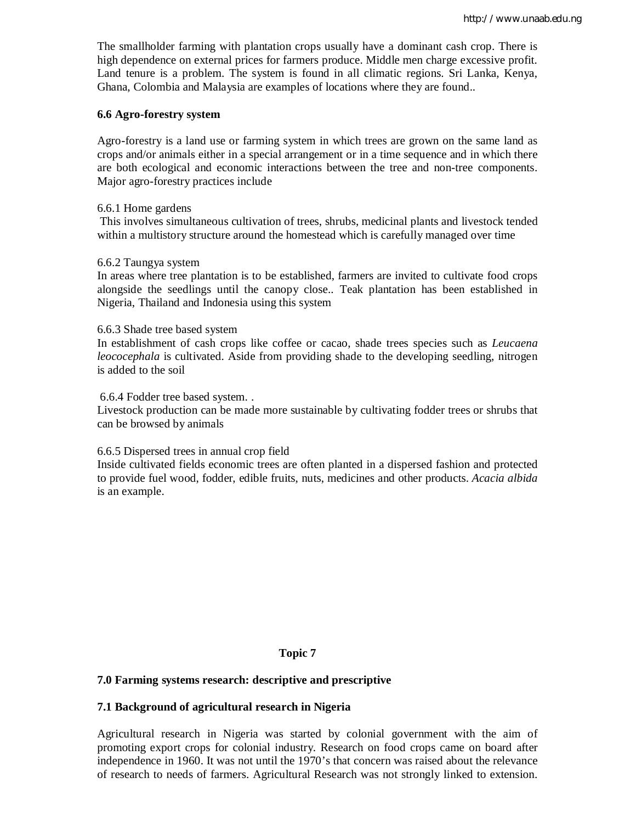The smallholder farming with plantation crops usually have a dominant cash crop. There is high dependence on external prices for farmers produce. Middle men charge excessive profit. Land tenure is a problem. The system is found in all climatic regions. Sri Lanka, Kenya, Ghana, Colombia and Malaysia are examples of locations where they are found..

#### **6.6 Agro-forestry system**

Agro-forestry is a land use or farming system in which trees are grown on the same land as crops and/or animals either in a special arrangement or in a time sequence and in which there are both ecological and economic interactions between the tree and non-tree components. Major agro-forestry practices include

#### 6.6.1 Home gardens

This involves simultaneous cultivation of trees, shrubs, medicinal plants and livestock tended within a multistory structure around the homestead which is carefully managed over time

#### 6.6.2 Taungya system

In areas where tree plantation is to be established, farmers are invited to cultivate food crops alongside the seedlings until the canopy close.. Teak plantation has been established in Nigeria, Thailand and Indonesia using this system

#### 6.6.3 Shade tree based system

In establishment of cash crops like coffee or cacao, shade trees species such as *Leucaena leococephala* is cultivated. Aside from providing shade to the developing seedling, nitrogen is added to the soil

6.6.4 Fodder tree based system. .

Livestock production can be made more sustainable by cultivating fodder trees or shrubs that can be browsed by animals

## 6.6.5 Dispersed trees in annual crop field

Inside cultivated fields economic trees are often planted in a dispersed fashion and protected to provide fuel wood, fodder, edible fruits, nuts, medicines and other products. *Acacia albida* is an example.

## **Topic 7**

## **7.0 Farming systems research: descriptive and prescriptive**

## **7.1 Background of agricultural research in Nigeria**

Agricultural research in Nigeria was started by colonial government with the aim of promoting export crops for colonial industry. Research on food crops came on board after independence in 1960. It was not until the 1970's that concern was raised about the relevance of research to needs of farmers. Agricultural Research was not strongly linked to extension.